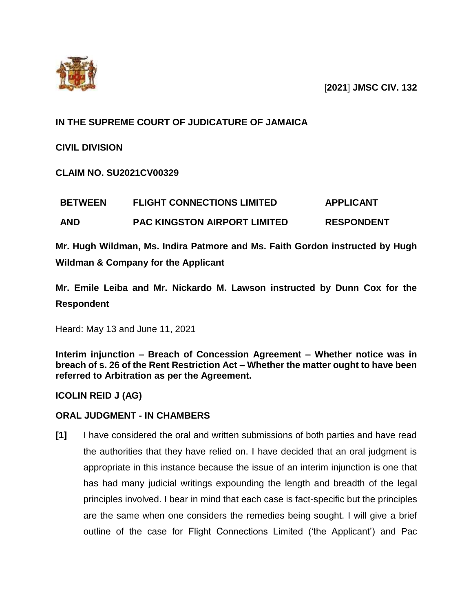

[**2021**] **JMSC CIV. 132**

# **IN THE SUPREME COURT OF JUDICATURE OF JAMAICA**

**CIVIL DIVISION**

**CLAIM NO. SU2021CV00329**

| <b>BETWEEN</b> | <b>FLIGHT CONNECTIONS LIMITED</b>   | <b>APPLICANT</b>  |
|----------------|-------------------------------------|-------------------|
| <b>AND</b>     | <b>PAC KINGSTON AIRPORT LIMITED</b> | <b>RESPONDENT</b> |

**Mr. Hugh Wildman, Ms. Indira Patmore and Ms. Faith Gordon instructed by Hugh Wildman & Company for the Applicant**

**Mr. Emile Leiba and Mr. Nickardo M. Lawson instructed by Dunn Cox for the Respondent**

Heard: May 13 and June 11, 2021

**Interim injunction – Breach of Concession Agreement – Whether notice was in breach of s. 26 of the Rent Restriction Act – Whether the matter ought to have been referred to Arbitration as per the Agreement.**

**ICOLIN REID J (AG)**

## **ORAL JUDGMENT - IN CHAMBERS**

**[1]** I have considered the oral and written submissions of both parties and have read the authorities that they have relied on. I have decided that an oral judgment is appropriate in this instance because the issue of an interim injunction is one that has had many judicial writings expounding the length and breadth of the legal principles involved. I bear in mind that each case is fact-specific but the principles are the same when one considers the remedies being sought. I will give a brief outline of the case for Flight Connections Limited ('the Applicant') and Pac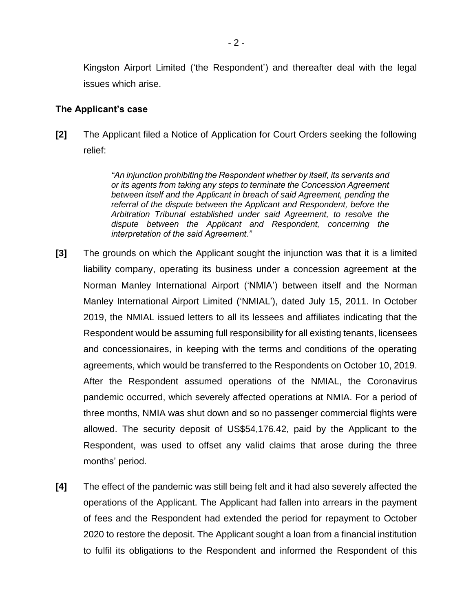Kingston Airport Limited ('the Respondent') and thereafter deal with the legal issues which arise.

### **The Applicant's case**

**[2]** The Applicant filed a Notice of Application for Court Orders seeking the following relief:

> *"An injunction prohibiting the Respondent whether by itself, its servants and or its agents from taking any steps to terminate the Concession Agreement between itself and the Applicant in breach of said Agreement, pending the referral of the dispute between the Applicant and Respondent, before the Arbitration Tribunal established under said Agreement, to resolve the dispute between the Applicant and Respondent, concerning the interpretation of the said Agreement."*

- **[3]** The grounds on which the Applicant sought the injunction was that it is a limited liability company, operating its business under a concession agreement at the Norman Manley International Airport ('NMIA') between itself and the Norman Manley International Airport Limited ('NMIAL'), dated July 15, 2011. In October 2019, the NMIAL issued letters to all its lessees and affiliates indicating that the Respondent would be assuming full responsibility for all existing tenants, licensees and concessionaires, in keeping with the terms and conditions of the operating agreements, which would be transferred to the Respondents on October 10, 2019. After the Respondent assumed operations of the NMIAL, the Coronavirus pandemic occurred, which severely affected operations at NMIA. For a period of three months, NMIA was shut down and so no passenger commercial flights were allowed. The security deposit of US\$54,176.42, paid by the Applicant to the Respondent, was used to offset any valid claims that arose during the three months' period.
- **[4]** The effect of the pandemic was still being felt and it had also severely affected the operations of the Applicant. The Applicant had fallen into arrears in the payment of fees and the Respondent had extended the period for repayment to October 2020 to restore the deposit. The Applicant sought a loan from a financial institution to fulfil its obligations to the Respondent and informed the Respondent of this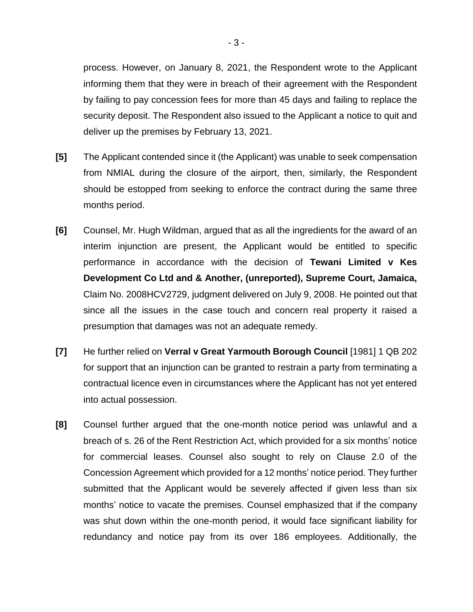process. However, on January 8, 2021, the Respondent wrote to the Applicant informing them that they were in breach of their agreement with the Respondent by failing to pay concession fees for more than 45 days and failing to replace the security deposit. The Respondent also issued to the Applicant a notice to quit and deliver up the premises by February 13, 2021.

- **[5]** The Applicant contended since it (the Applicant) was unable to seek compensation from NMIAL during the closure of the airport, then, similarly, the Respondent should be estopped from seeking to enforce the contract during the same three months period.
- **[6]** Counsel, Mr. Hugh Wildman, argued that as all the ingredients for the award of an interim injunction are present, the Applicant would be entitled to specific performance in accordance with the decision of **Tewani Limited v Kes Development Co Ltd and & Another, (unreported), Supreme Court, Jamaica,** Claim No. 2008HCV2729, judgment delivered on July 9, 2008. He pointed out that since all the issues in the case touch and concern real property it raised a presumption that damages was not an adequate remedy.
- **[7]** He further relied on **Verral v Great Yarmouth Borough Council** [1981] 1 QB 202 for support that an injunction can be granted to restrain a party from terminating a contractual licence even in circumstances where the Applicant has not yet entered into actual possession.
- **[8]** Counsel further argued that the one-month notice period was unlawful and a breach of s. 26 of the Rent Restriction Act, which provided for a six months' notice for commercial leases. Counsel also sought to rely on Clause 2.0 of the Concession Agreement which provided for a 12 months' notice period. They further submitted that the Applicant would be severely affected if given less than six months' notice to vacate the premises. Counsel emphasized that if the company was shut down within the one-month period, it would face significant liability for redundancy and notice pay from its over 186 employees. Additionally, the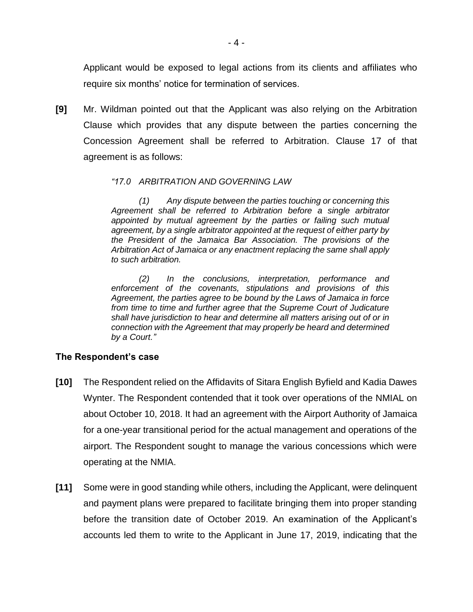Applicant would be exposed to legal actions from its clients and affiliates who require six months' notice for termination of services.

**[9]** Mr. Wildman pointed out that the Applicant was also relying on the Arbitration Clause which provides that any dispute between the parties concerning the Concession Agreement shall be referred to Arbitration. Clause 17 of that agreement is as follows:

#### *"17.0 ARBITRATION AND GOVERNING LAW*

*(1) Any dispute between the parties touching or concerning this Agreement shall be referred to Arbitration before a single arbitrator appointed by mutual agreement by the parties or failing such mutual agreement, by a single arbitrator appointed at the request of either party by the President of the Jamaica Bar Association. The provisions of the Arbitration Act of Jamaica or any enactment replacing the same shall apply to such arbitration.*

*(2) In the conclusions, interpretation, performance and enforcement of the covenants, stipulations and provisions of this Agreement, the parties agree to be bound by the Laws of Jamaica in force from time to time and further agree that the Supreme Court of Judicature shall have jurisdiction to hear and determine all matters arising out of or in connection with the Agreement that may properly be heard and determined by a Court."*

## **The Respondent's case**

- **[10]** The Respondent relied on the Affidavits of Sitara English Byfield and Kadia Dawes Wynter. The Respondent contended that it took over operations of the NMIAL on about October 10, 2018. It had an agreement with the Airport Authority of Jamaica for a one-year transitional period for the actual management and operations of the airport. The Respondent sought to manage the various concessions which were operating at the NMIA.
- **[11]** Some were in good standing while others, including the Applicant, were delinquent and payment plans were prepared to facilitate bringing them into proper standing before the transition date of October 2019. An examination of the Applicant's accounts led them to write to the Applicant in June 17, 2019, indicating that the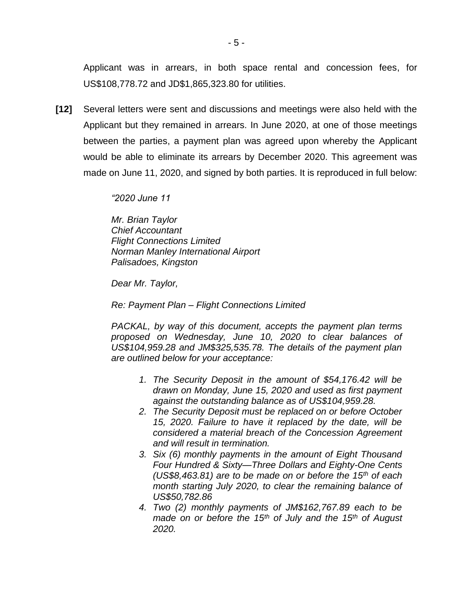Applicant was in arrears, in both space rental and concession fees, for US\$108,778.72 and JD\$1,865,323.80 for utilities.

**[12]** Several letters were sent and discussions and meetings were also held with the Applicant but they remained in arrears. In June 2020, at one of those meetings between the parties, a payment plan was agreed upon whereby the Applicant would be able to eliminate its arrears by December 2020. This agreement was made on June 11, 2020, and signed by both parties. It is reproduced in full below:

*"2020 June 11*

*Mr. Brian Taylor Chief Accountant Flight Connections Limited Norman Manley International Airport Palisadoes, Kingston*

*Dear Mr. Taylor,*

*Re: Payment Plan – Flight Connections Limited*

*PACKAL, by way of this document, accepts the payment plan terms proposed on Wednesday, June 10, 2020 to clear balances of US\$104,959.28 and JM\$325,535.78. The details of the payment plan are outlined below for your acceptance:*

- *1. The Security Deposit in the amount of \$54,176.42 will be drawn on Monday, June 15, 2020 and used as first payment against the outstanding balance as of US\$104,959.28.*
- *2. The Security Deposit must be replaced on or before October 15, 2020. Failure to have it replaced by the date, will be considered a material breach of the Concession Agreement and will result in termination.*
- *3. Six (6) monthly payments in the amount of Eight Thousand Four Hundred & Sixty—Three Dollars and Eighty-One Cents (US\$8,463.81) are to be made on or before the 15th of each month starting July 2020, to clear the remaining balance of US\$50,782.86*
- *4. Two (2) monthly payments of JM\$162,767.89 each to be made on or before the 15th of July and the 15th of August 2020.*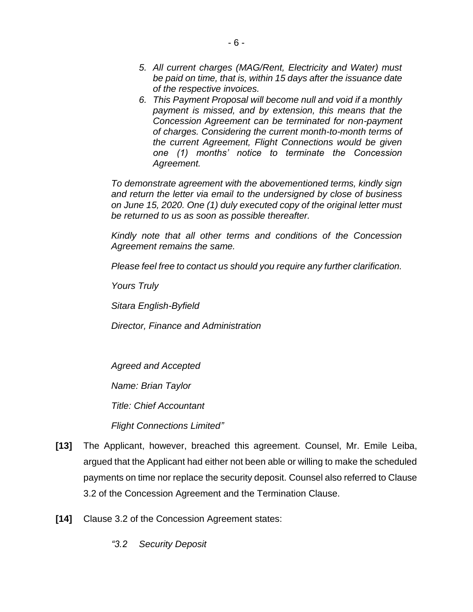- *5. All current charges (MAG/Rent, Electricity and Water) must be paid on time, that is, within 15 days after the issuance date of the respective invoices.*
- *6. This Payment Proposal will become null and void if a monthly payment is missed, and by extension, this means that the Concession Agreement can be terminated for non-payment of charges. Considering the current month-to-month terms of the current Agreement, Flight Connections would be given one (1) months' notice to terminate the Concession Agreement.*

*To demonstrate agreement with the abovementioned terms, kindly sign and return the letter via email to the undersigned by close of business on June 15, 2020. One (1) duly executed copy of the original letter must be returned to us as soon as possible thereafter.*

*Kindly note that all other terms and conditions of the Concession Agreement remains the same.*

*Please feel free to contact us should you require any further clarification.*

*Yours Truly* 

*Sitara English-Byfield* 

*Director, Finance and Administration*

*Agreed and Accepted* 

*Name: Brian Taylor*

*Title: Chief Accountant*

*Flight Connections Limited"*

- **[13]** The Applicant, however, breached this agreement. Counsel, Mr. Emile Leiba, argued that the Applicant had either not been able or willing to make the scheduled payments on time nor replace the security deposit. Counsel also referred to Clause 3.2 of the Concession Agreement and the Termination Clause.
- **[14]** Clause 3.2 of the Concession Agreement states:
	- *"3.2 Security Deposit*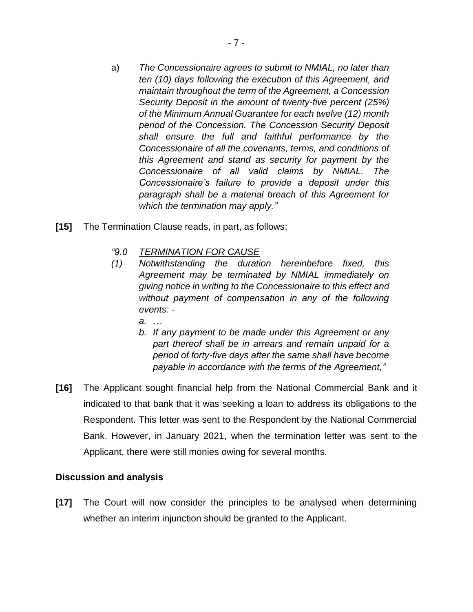- a) *The Concessionaire agrees to submit to NMIAL, no later than ten (10) days following the execution of this Agreement, and maintain throughout the term of the Agreement, a Concession Security Deposit in the amount of twenty-five percent (25%) of the Minimum Annual Guarantee for each twelve (12) month period of the Concession. The Concession Security Deposit shall ensure the full and faithful performance by the Concessionaire of all the covenants, terms, and conditions of this Agreement and stand as security for payment by the Concessionaire of all valid claims by NMIAL. The Concessionaire's failure to provide a deposit under this paragraph shall be a material breach of this Agreement for which the termination may apply."*
- **[15]** The Termination Clause reads, in part, as follows:
	- *"9.0 TERMINATION FOR CAUSE*
	- *(1) Notwithstanding the duration hereinbefore fixed, this Agreement may be terminated by NMIAL immediately on giving notice in writing to the Concessionaire to this effect and without payment of compensation in any of the following events:* 
		- *a. …*
		- *b. If any payment to be made under this Agreement or any part thereof shall be in arrears and remain unpaid for a period of forty-five days after the same shall have become payable in accordance with the terms of the Agreement,"*
- **[16]** The Applicant sought financial help from the National Commercial Bank and it indicated to that bank that it was seeking a loan to address its obligations to the Respondent. This letter was sent to the Respondent by the National Commercial Bank. However, in January 2021, when the termination letter was sent to the Applicant, there were still monies owing for several months.

## **Discussion and analysis**

**[17]** The Court will now consider the principles to be analysed when determining whether an interim injunction should be granted to the Applicant.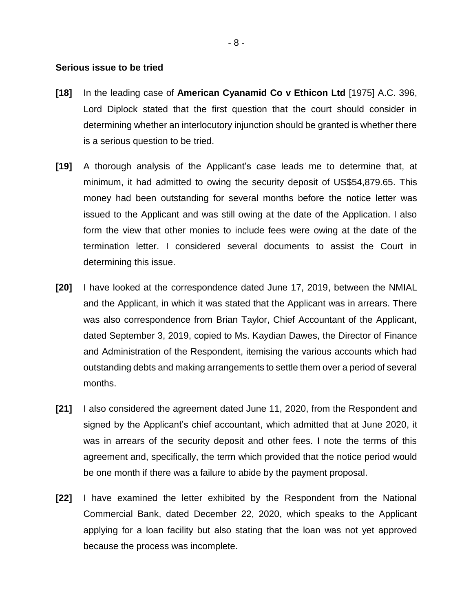#### **Serious issue to be tried**

- **[18]** In the leading case of **American Cyanamid Co v Ethicon Ltd** [1975] A.C. 396, Lord Diplock stated that the first question that the court should consider in determining whether an interlocutory injunction should be granted is whether there is a serious question to be tried.
- **[19]** A thorough analysis of the Applicant's case leads me to determine that, at minimum, it had admitted to owing the security deposit of US\$54,879.65. This money had been outstanding for several months before the notice letter was issued to the Applicant and was still owing at the date of the Application. I also form the view that other monies to include fees were owing at the date of the termination letter. I considered several documents to assist the Court in determining this issue.
- **[20]** I have looked at the correspondence dated June 17, 2019, between the NMIAL and the Applicant, in which it was stated that the Applicant was in arrears. There was also correspondence from Brian Taylor, Chief Accountant of the Applicant, dated September 3, 2019, copied to Ms. Kaydian Dawes, the Director of Finance and Administration of the Respondent, itemising the various accounts which had outstanding debts and making arrangements to settle them over a period of several months.
- **[21]** I also considered the agreement dated June 11, 2020, from the Respondent and signed by the Applicant's chief accountant, which admitted that at June 2020, it was in arrears of the security deposit and other fees. I note the terms of this agreement and, specifically, the term which provided that the notice period would be one month if there was a failure to abide by the payment proposal.
- **[22]** I have examined the letter exhibited by the Respondent from the National Commercial Bank, dated December 22, 2020, which speaks to the Applicant applying for a loan facility but also stating that the loan was not yet approved because the process was incomplete.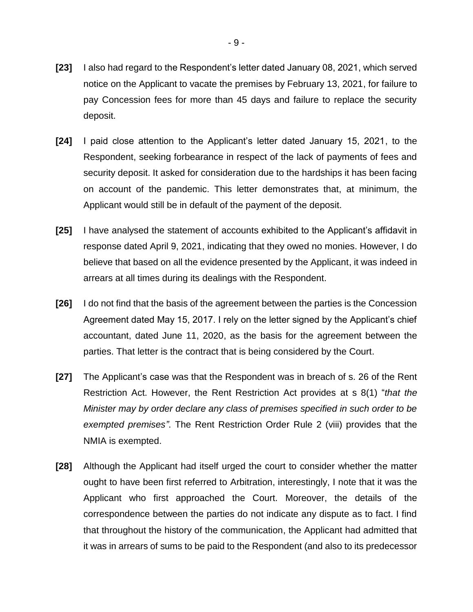- **[23]** I also had regard to the Respondent's letter dated January 08, 2021, which served notice on the Applicant to vacate the premises by February 13, 2021, for failure to pay Concession fees for more than 45 days and failure to replace the security deposit.
- **[24]** I paid close attention to the Applicant's letter dated January 15, 2021, to the Respondent, seeking forbearance in respect of the lack of payments of fees and security deposit. It asked for consideration due to the hardships it has been facing on account of the pandemic. This letter demonstrates that, at minimum, the Applicant would still be in default of the payment of the deposit.
- **[25]** I have analysed the statement of accounts exhibited to the Applicant's affidavit in response dated April 9, 2021, indicating that they owed no monies. However, I do believe that based on all the evidence presented by the Applicant, it was indeed in arrears at all times during its dealings with the Respondent.
- **[26]** I do not find that the basis of the agreement between the parties is the Concession Agreement dated May 15, 2017. I rely on the letter signed by the Applicant's chief accountant, dated June 11, 2020, as the basis for the agreement between the parties. That letter is the contract that is being considered by the Court.
- **[27]** The Applicant's case was that the Respondent was in breach of s. 26 of the Rent Restriction Act. However, the Rent Restriction Act provides at s 8(1) "*that the Minister may by order declare any class of premises specified in such order to be exempted premises"*. The Rent Restriction Order Rule 2 (viii) provides that the NMIA is exempted.
- **[28]** Although the Applicant had itself urged the court to consider whether the matter ought to have been first referred to Arbitration, interestingly, I note that it was the Applicant who first approached the Court. Moreover, the details of the correspondence between the parties do not indicate any dispute as to fact. I find that throughout the history of the communication, the Applicant had admitted that it was in arrears of sums to be paid to the Respondent (and also to its predecessor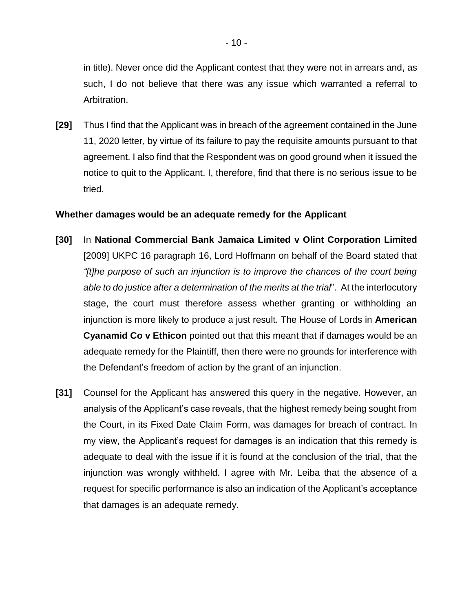in title). Never once did the Applicant contest that they were not in arrears and, as such, I do not believe that there was any issue which warranted a referral to Arbitration.

**[29]** Thus I find that the Applicant was in breach of the agreement contained in the June 11, 2020 letter, by virtue of its failure to pay the requisite amounts pursuant to that agreement. I also find that the Respondent was on good ground when it issued the notice to quit to the Applicant. I, therefore, find that there is no serious issue to be tried.

#### **Whether damages would be an adequate remedy for the Applicant**

- **[30]** In **National Commercial Bank Jamaica Limited v Olint Corporation Limited**  [2009] UKPC 16 paragraph 16, Lord Hoffmann on behalf of the Board stated that *"[t]he purpose of such an injunction is to improve the chances of the court being able to do justice after a determination of the merits at the trial*". At the interlocutory stage, the court must therefore assess whether granting or withholding an injunction is more likely to produce a just result. The House of Lords in **American Cyanamid Co v Ethicon** pointed out that this meant that if damages would be an adequate remedy for the Plaintiff, then there were no grounds for interference with the Defendant's freedom of action by the grant of an injunction.
- **[31]** Counsel for the Applicant has answered this query in the negative. However, an analysis of the Applicant's case reveals, that the highest remedy being sought from the Court, in its Fixed Date Claim Form, was damages for breach of contract. In my view, the Applicant's request for damages is an indication that this remedy is adequate to deal with the issue if it is found at the conclusion of the trial, that the injunction was wrongly withheld. I agree with Mr. Leiba that the absence of a request for specific performance is also an indication of the Applicant's acceptance that damages is an adequate remedy.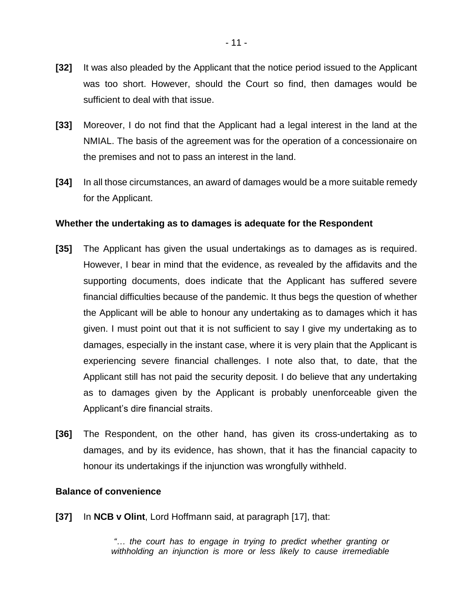- **[32]** It was also pleaded by the Applicant that the notice period issued to the Applicant was too short. However, should the Court so find, then damages would be sufficient to deal with that issue.
- **[33]** Moreover, I do not find that the Applicant had a legal interest in the land at the NMIAL. The basis of the agreement was for the operation of a concessionaire on the premises and not to pass an interest in the land.
- **[34]** In all those circumstances, an award of damages would be a more suitable remedy for the Applicant.

#### **Whether the undertaking as to damages is adequate for the Respondent**

- **[35]** The Applicant has given the usual undertakings as to damages as is required. However, I bear in mind that the evidence, as revealed by the affidavits and the supporting documents, does indicate that the Applicant has suffered severe financial difficulties because of the pandemic. It thus begs the question of whether the Applicant will be able to honour any undertaking as to damages which it has given. I must point out that it is not sufficient to say I give my undertaking as to damages, especially in the instant case, where it is very plain that the Applicant is experiencing severe financial challenges. I note also that, to date, that the Applicant still has not paid the security deposit. I do believe that any undertaking as to damages given by the Applicant is probably unenforceable given the Applicant's dire financial straits.
- **[36]** The Respondent, on the other hand, has given its cross-undertaking as to damages, and by its evidence, has shown, that it has the financial capacity to honour its undertakings if the injunction was wrongfully withheld.

#### **Balance of convenience**

**[37]** In **NCB v Olint**, Lord Hoffmann said, at paragraph [17], that:

*"… the court has to engage in trying to predict whether granting or withholding an injunction is more or less likely to cause irremediable*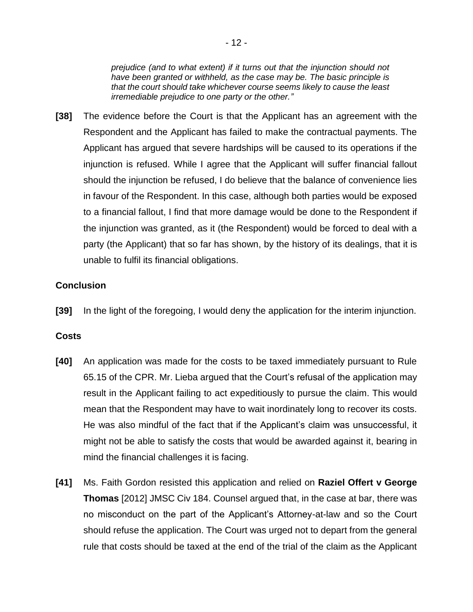*prejudice (and to what extent) if it turns out that the injunction should not have been granted or withheld, as the case may be. The basic principle is that the court should take whichever course seems likely to cause the least irremediable prejudice to one party or the other."*

**[38]** The evidence before the Court is that the Applicant has an agreement with the Respondent and the Applicant has failed to make the contractual payments. The Applicant has argued that severe hardships will be caused to its operations if the injunction is refused. While I agree that the Applicant will suffer financial fallout should the injunction be refused, I do believe that the balance of convenience lies in favour of the Respondent. In this case, although both parties would be exposed to a financial fallout, I find that more damage would be done to the Respondent if the injunction was granted, as it (the Respondent) would be forced to deal with a party (the Applicant) that so far has shown, by the history of its dealings, that it is unable to fulfil its financial obligations.

## **Conclusion**

**[39]** In the light of the foregoing, I would deny the application for the interim injunction.

## **Costs**

- **[40]** An application was made for the costs to be taxed immediately pursuant to Rule 65.15 of the CPR. Mr. Lieba argued that the Court's refusal of the application may result in the Applicant failing to act expeditiously to pursue the claim. This would mean that the Respondent may have to wait inordinately long to recover its costs. He was also mindful of the fact that if the Applicant's claim was unsuccessful, it might not be able to satisfy the costs that would be awarded against it, bearing in mind the financial challenges it is facing.
- **[41]** Ms. Faith Gordon resisted this application and relied on **Raziel Offert v George Thomas** [2012] JMSC Civ 184. Counsel argued that, in the case at bar, there was no misconduct on the part of the Applicant's Attorney-at-law and so the Court should refuse the application. The Court was urged not to depart from the general rule that costs should be taxed at the end of the trial of the claim as the Applicant